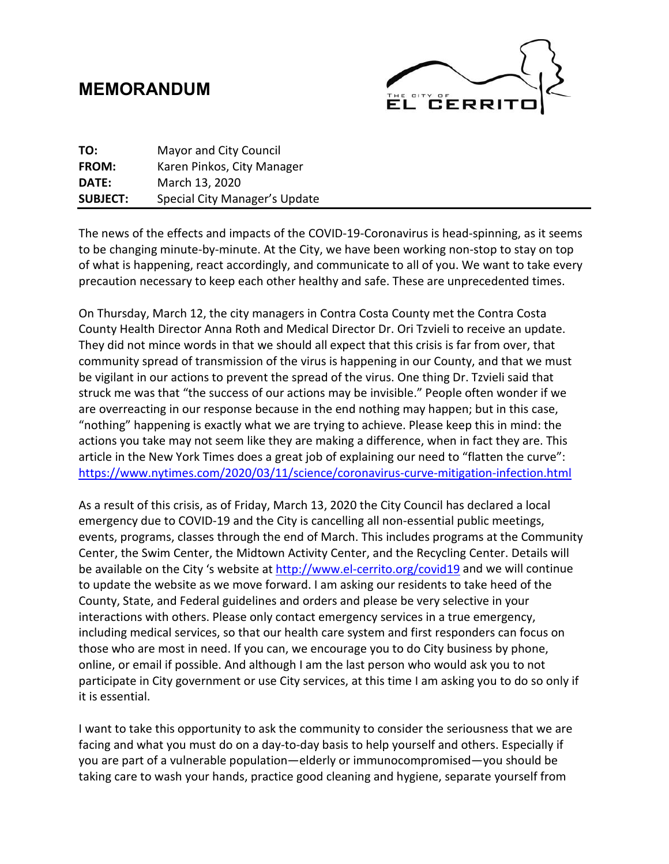## **MEMORANDUM**



| TO:             | <b>Mayor and City Council</b> |
|-----------------|-------------------------------|
| <b>FROM:</b>    | Karen Pinkos, City Manager    |
| DATE:           | March 13, 2020                |
| <b>SUBJECT:</b> | Special City Manager's Update |

The news of the effects and impacts of the COVID-19-Coronavirus is head-spinning, as it seems to be changing minute-by-minute. At the City, we have been working non-stop to stay on top of what is happening, react accordingly, and communicate to all of you. We want to take every precaution necessary to keep each other healthy and safe. These are unprecedented times.

On Thursday, March 12, the city managers in Contra Costa County met the Contra Costa County Health Director Anna Roth and Medical Director Dr. Ori Tzvieli to receive an update. They did not mince words in that we should all expect that this crisis is far from over, that community spread of transmission of the virus is happening in our County, and that we must be vigilant in our actions to prevent the spread of the virus. One thing Dr. Tzvieli said that struck me was that "the success of our actions may be invisible." People often wonder if we are overreacting in our response because in the end nothing may happen; but in this case, "nothing" happening is exactly what we are trying to achieve. Please keep this in mind: the actions you take may not seem like they are making a difference, when in fact they are. This article in the New York Times does a great job of explaining our need to "flatten the curve": <https://www.nytimes.com/2020/03/11/science/coronavirus-curve-mitigation-infection.html>

As a result of this crisis, as of Friday, March 13, 2020 the City Council has declared a local emergency due to COVID-19 and the City is cancelling all non-essential public meetings, events, programs, classes through the end of March. This includes programs at the Community Center, the Swim Center, the Midtown Activity Center, and the Recycling Center. Details will be available on the City 's website at<http://www.el-cerrito.org/covid19> and we will continue to update the website as we move forward. I am asking our residents to take heed of the County, State, and Federal guidelines and orders and please be very selective in your interactions with others. Please only contact emergency services in a true emergency, including medical services, so that our health care system and first responders can focus on those who are most in need. If you can, we encourage you to do City business by phone, online, or email if possible. And although I am the last person who would ask you to not participate in City government or use City services, at this time I am asking you to do so only if it is essential.

I want to take this opportunity to ask the community to consider the seriousness that we are facing and what you must do on a day-to-day basis to help yourself and others. Especially if you are part of a vulnerable population—elderly or immunocompromised—you should be taking care to wash your hands, practice good cleaning and hygiene, separate yourself from